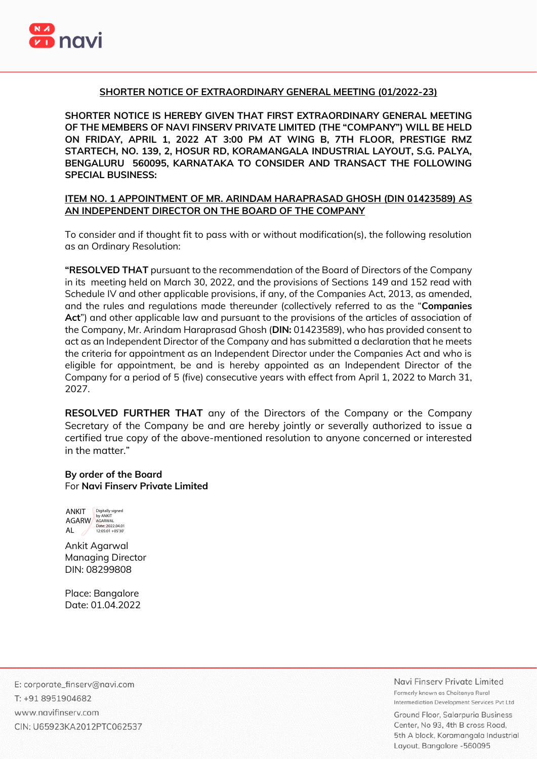

#### **SHORTER NOTICE OF EXTRAORDINARY GENERAL MEETING (01/2022-23)**

**SHORTER NOTICE IS HEREBY GIVEN THAT FIRST EXTRAORDINARY GENERAL MEETING OF THE MEMBERS OF NAVI FINSERV PRIVATE LIMITED (THE "COMPANY") WILL BE HELD ON FRIDAY, APRIL 1, 2022 AT 3:00 PM AT WING B, 7TH FLOOR, PRESTIGE RMZ STARTECH, NO. 139, 2, HOSUR RD, KORAMANGALA INDUSTRIAL LAYOUT, S.G. PALYA, BENGALURU 560095, KARNATAKA TO CONSIDER AND TRANSACT THE FOLLOWING SPECIAL BUSINESS:**

#### **ITEM NO. 1 APPOINTMENT OF MR. ARINDAM HARAPRASAD GHOSH (DIN 01423589) AS AN INDEPENDENT DIRECTOR ON THE BOARD OF THE COMPANY**

To consider and if thought fit to pass with or without modification(s), the following resolution as an Ordinary Resolution:

**"RESOLVED THAT** pursuant to the recommendation of the Board of Directors of the Company in its meeting held on March 30, 2022, and the provisions of Sections 149 and 152 read with Schedule IV and other applicable provisions, if any, of the Companies Act, 2013, as amended, and the rules and regulations made thereunder (collectively referred to as the "**Companies Act**") and other applicable law and pursuant to the provisions of the articles of association of the Company, Mr. Arindam Haraprasad Ghosh (**DIN:** 01423589), who has provided consent to act as an Independent Director of the Company and has submitted a declaration that he meets the criteria for appointment as an Independent Director under the Companies Act and who is eligible for appointment, be and is hereby appointed as an Independent Director of the Company for a period of 5 (five) consecutive years with effect from April 1, 2022 to March 31, 2027.

**RESOLVED FURTHER THAT** any of the Directors of the Company or the Company Secretary of the Company be and are hereby jointly or severally authorized to issue a certified true copy of the above-mentioned resolution to anyone concerned or interested in the matter."

#### **By order of the Board** For **Navi Finserv Private Limited**



Ankit Agarwal Managing Director DIN: [08299808](https://www.mca.gov.in/mcafoportal/companyLLPMasterData.do)

Place: Bangalore Date: 01.04.2022

E: corporate\_finserv@navi.com T: +91 8951904682 www.navifinsery.com CIN: U65923KA2012PTC062537 Navi Finsery Private Limited Formerly known as Chaitanya Rural Intermediation Development Services Pyt Ltd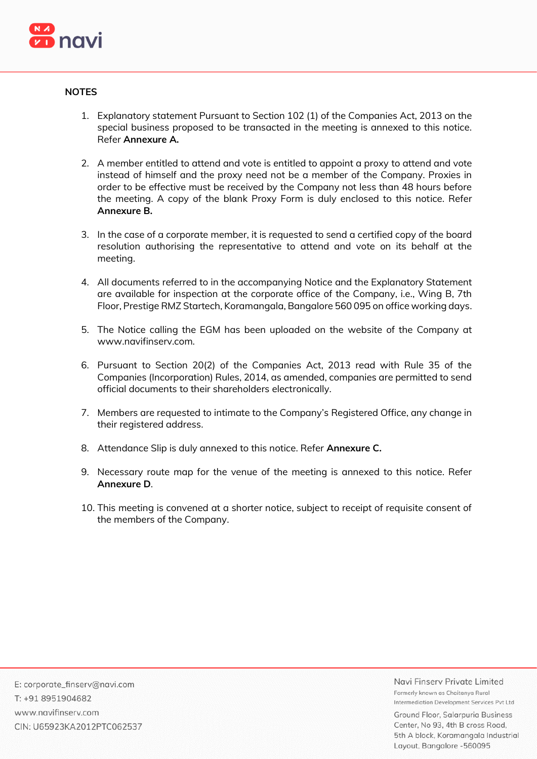

## **NOTES**

- 1. Explanatory statement Pursuant to Section 102 (1) of the Companies Act, 2013 on the special business proposed to be transacted in the meeting is annexed to this notice. Refer **Annexure A.**
- 2. A member entitled to attend and vote is entitled to appoint a proxy to attend and vote instead of himself and the proxy need not be a member of the Company. Proxies in order to be effective must be received by the Company not less than 48 hours before the meeting. A copy of the blank Proxy Form is duly enclosed to this notice. Refer **Annexure B.**
- 3. In the case of a corporate member, it is requested to send a certified copy of the board resolution authorising the representative to attend and vote on its behalf at the meeting.
- 4. All documents referred to in the accompanying Notice and the Explanatory Statement are available for inspection at the corporate office of the Company, i.e., Wing B, 7th Floor, Prestige RMZ Startech, Koramangala, Bangalore 560 095 on office working days.
- 5. The Notice calling the EGM has been uploaded on the website of the Company at www.navifinserv.com.
- 6. Pursuant to Section 20(2) of the Companies Act, 2013 read with Rule 35 of the Companies (Incorporation) Rules, 2014, as amended, companies are permitted to send official documents to their shareholders electronically.
- 7. Members are requested to intimate to the Company's Registered Office, any change in their registered address.
- 8. Attendance Slip is duly annexed to this notice. Refer **Annexure C.**
- 9. Necessary route map for the venue of the meeting is annexed to this notice. Refer **Annexure D**.
- 10. This meeting is convened at a shorter notice, subject to receipt of requisite consent of the members of the Company.

E: corporate\_finserv@navi.com T: +91 8951904682 www.navifinserv.com CIN: U65923KA2012PTC062537 Navi Finsery Private Limited Formerly known as Chaitanya Rural Intermediation Development Services Pyt Ltd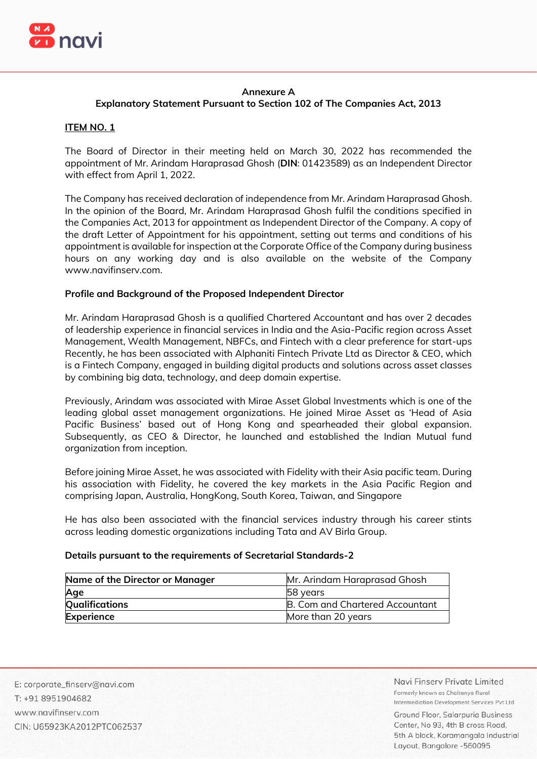

# **Annexure A**

# **Explanatory Statement Pursuant to Section 102 of The Companies Act, 2013**

# **ITEM NO. 1**

The Board of Director in their meeting held on March 30, 2022 has recommended the appointment of Mr. Arindam Haraprasad Ghosh (**DIN**: 01423589) as an Independent Director with effect from April 1, 2022.

The Company has received declaration of independence from Mr. Arindam Haraprasad Ghosh. In the opinion of the Board, Mr. Arindam Haraprasad Ghosh fulfil the conditions specified in the Companies Act, 2013 for appointment as Independent Director of the Company. A copy of the draft Letter of Appointment for his appointment, setting out terms and conditions of his appointment is available for inspection at the Corporate Office of the Company during business hours on any working day and is also available on the website of the Company www.navifinserv.com.

# **Profile and Background of the Proposed Independent Director**

Mr. Arindam Haraprasad Ghosh is a qualified Chartered Accountant and has over 2 decades of leadership experience in financial services in India and the Asia-Pacific region across Asset Management, Wealth Management, NBFCs, and Fintech with a clear preference for start-ups Recently, he has been associated with Alphaniti Fintech Private Ltd as Director & CEO, which is a Fintech Company, engaged in building digital products and solutions across asset classes by combining big data, technology, and deep domain expertise.

Previously, Arindam was associated with Mirae Asset Global Investments which is one of the leading global asset management organizations. He joined Mirae Asset as 'Head of Asia Pacific Business' based out of Hong Kong and spearheaded their global expansion. Subsequently, as CEO & Director, he launched and established the Indian Mutual fund organization from inception.

Before joining Mirae Asset, he was associated with Fidelity with their Asia pacific team. During his association with Fidelity, he covered the key markets in the Asia Pacific Region and comprising Japan, Australia, HongKong, South Korea, Taiwan, and Singapore

He has also been associated with the financial services industry through his career stints across leading domestic organizations including Tata and AV Birla Group.

## **Details pursuant to the requirements of Secretarial Standards-2**

| Name of the Director or Manager | Mr. Arindam Haraprasad Ghosh    |  |
|---------------------------------|---------------------------------|--|
| Age                             | 58 years                        |  |
| <b>Qualifications</b>           | B. Com and Chartered Accountant |  |
| Experience                      | More than 20 years              |  |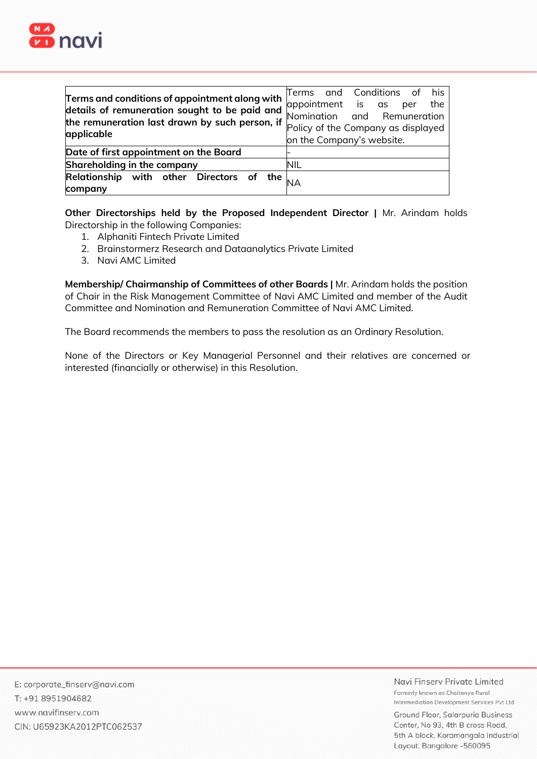

| Terms and conditions of appointment along with<br>details of remuneration sought to be paid and<br>the remuneration last drawn by such person, if<br>applicable | his<br>Terms and Conditions of<br>appointment is as per<br>the<br>Nomination and Remuneration<br>Policy of the Company as displayed<br>on the Company's website. |
|-----------------------------------------------------------------------------------------------------------------------------------------------------------------|------------------------------------------------------------------------------------------------------------------------------------------------------------------|
| Date of first appointment on the Board                                                                                                                          |                                                                                                                                                                  |
| Shareholding in the company                                                                                                                                     | NIL                                                                                                                                                              |
| Relationship with other Directors of the<br>company                                                                                                             |                                                                                                                                                                  |

**Other Directorships held by the Proposed Independent Director |** Mr. Arindam holds Directorship in the following Companies:

- 1. Alphaniti Fintech Private Limited
- 2. Brainstormerz Research and Dataanalytics Private Limited
- 3. Navi AMC Limited

**Membership/ Chairmanship of Committees of other Boards |** Mr. Arindam holds the position of Chair in the Risk Management Committee of Navi AMC Limited and member of the Audit Committee and Nomination and Remuneration Committee of Navi AMC Limited.

The Board recommends the members to pass the resolution as an Ordinary Resolution.

None of the Directors or Key Managerial Personnel and their relatives are concerned or interested (financially or otherwise) in this Resolution.

Navi Finsery Private Limited Formerly known as Chaitanya Rural Intermediation Development Services Pyt Ltd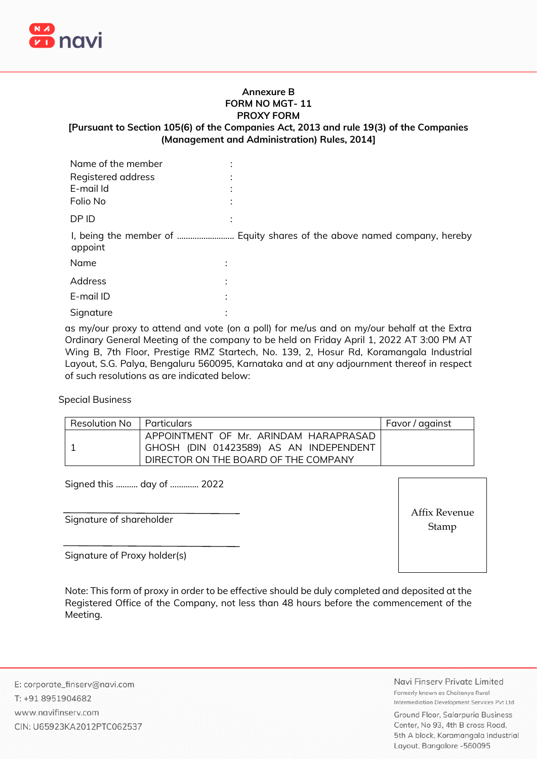

#### **Annexure B FORM NO MGT- 11 PROXY FORM**

# **[Pursuant to Section 105(6) of the Companies Act, 2013 and rule 19(3) of the Companies (Management and Administration) Rules, 2014]**

| Name of the member |                           |
|--------------------|---------------------------|
| Registered address |                           |
| E-mail Id          |                           |
| Folio No           |                           |
| DP ID              |                           |
| appoint            |                           |
| Name               | $\bullet$                 |
| <b>Address</b>     |                           |
| E-mail ID          | ٠                         |
| Signature          | ٠<br>$\ddot{\phantom{0}}$ |
|                    |                           |

as my/our proxy to attend and vote (on a poll) for me/us and on my/our behalf at the Extra Ordinary General Meeting of the company to be held on Friday April 1, 2022 AT 3:00 PM AT Wing B, 7th Floor, Prestige RMZ Startech, No. 139, 2, Hosur Rd, Koramangala Industrial Layout, S.G. Palya, Bengaluru 560095, Karnataka and at any adjournment thereof in respect of such resolutions as are indicated below:

Special Business

| Resolution No   Particulars |                                        | Favor / against |
|-----------------------------|----------------------------------------|-----------------|
|                             | APPOINTMENT OF Mr. ARINDAM HARAPRASAD  |                 |
|                             | GHOSH (DIN 01423589) AS AN INDEPENDENT |                 |
|                             | DIRECTOR ON THE BOARD OF THE COMPANY   |                 |

Signed this ………. day of …………. 2022

Signature of shareholder

Affix Revenue Stamp

Signature of Proxy holder(s)

Note: This form of proxy in order to be effective should be duly completed and deposited at the Registered Office of the Company, not less than 48 hours before the commencement of the Meeting.

E: corporate\_finserv@navi.com T: +91 8951904682 www.navifinserv.com CIN: U65923KA2012PTC062537 Navi Finsery Private Limited Formerly known as Chaitanya Rural Intermediation Development Services Pyt Ltd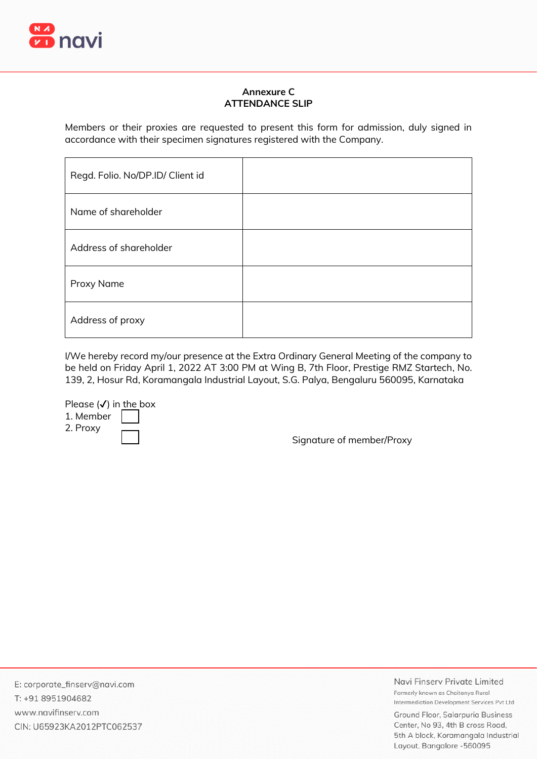

# **Annexure C ATTENDANCE SLIP**

Members or their proxies are requested to present this form for admission, duly signed in accordance with their specimen signatures registered with the Company.

| Regd. Folio. No/DP.ID/ Client id |  |
|----------------------------------|--|
| Name of shareholder              |  |
| Address of shareholder           |  |
| Proxy Name                       |  |
| Address of proxy                 |  |

I/We hereby record my/our presence at the Extra Ordinary General Meeting of the company to be held on Friday April 1, 2022 AT 3:00 PM at Wing B, 7th Floor, Prestige RMZ Startech, No. 139, 2, Hosur Rd, Koramangala Industrial Layout, S.G. Palya, Bengaluru 560095, Karnataka

Please  $(\checkmark)$  in the box

1. Member 2. Proxy

Signature of member/Proxy

E: corporate\_finserv@navi.com T: +91 8951904682 www.navifinserv.com CIN: U65923KA2012PTC062537 Navi Finsery Private Limited Formerly known as Chaitanya Rural Intermediation Development Services Pvt Ltd